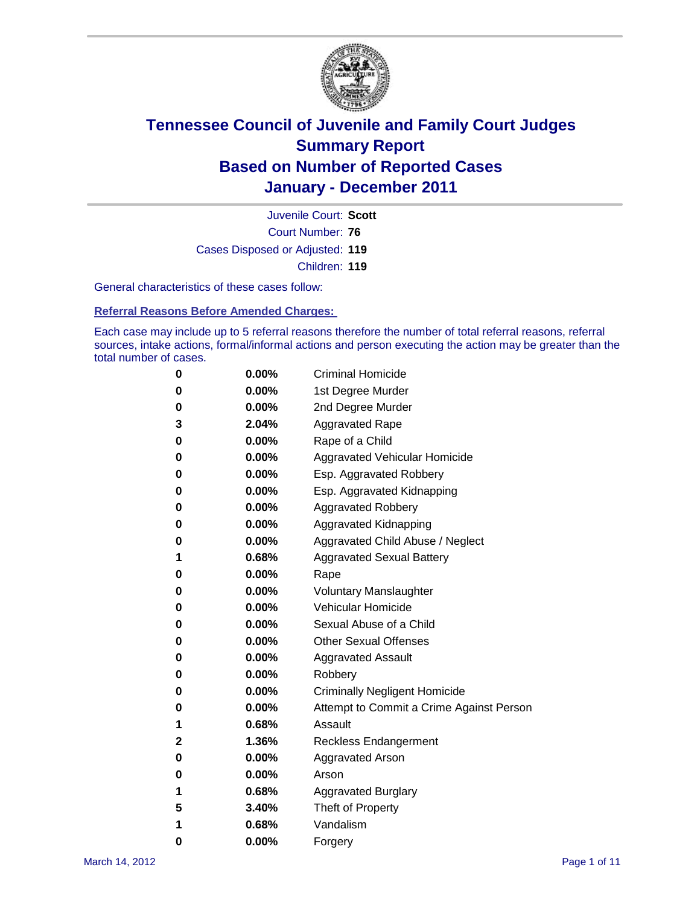

Court Number: **76** Juvenile Court: **Scott** Cases Disposed or Adjusted: **119** Children: **119**

General characteristics of these cases follow:

**Referral Reasons Before Amended Charges:** 

Each case may include up to 5 referral reasons therefore the number of total referral reasons, referral sources, intake actions, formal/informal actions and person executing the action may be greater than the total number of cases.

| 0 | $0.00\%$ | <b>Criminal Homicide</b>                 |
|---|----------|------------------------------------------|
| 0 | $0.00\%$ | 1st Degree Murder                        |
| 0 | $0.00\%$ | 2nd Degree Murder                        |
| 3 | 2.04%    | <b>Aggravated Rape</b>                   |
| 0 | $0.00\%$ | Rape of a Child                          |
| 0 | $0.00\%$ | Aggravated Vehicular Homicide            |
| 0 | $0.00\%$ | Esp. Aggravated Robbery                  |
| 0 | $0.00\%$ | Esp. Aggravated Kidnapping               |
| 0 | $0.00\%$ | <b>Aggravated Robbery</b>                |
| 0 | $0.00\%$ | Aggravated Kidnapping                    |
| 0 | $0.00\%$ | Aggravated Child Abuse / Neglect         |
| 1 | 0.68%    | <b>Aggravated Sexual Battery</b>         |
| 0 | 0.00%    | Rape                                     |
| 0 | $0.00\%$ | <b>Voluntary Manslaughter</b>            |
| 0 | $0.00\%$ | Vehicular Homicide                       |
| 0 | $0.00\%$ | Sexual Abuse of a Child                  |
| 0 | $0.00\%$ | <b>Other Sexual Offenses</b>             |
| 0 | $0.00\%$ | <b>Aggravated Assault</b>                |
| 0 | $0.00\%$ | Robbery                                  |
| 0 | $0.00\%$ | <b>Criminally Negligent Homicide</b>     |
| 0 | $0.00\%$ | Attempt to Commit a Crime Against Person |
| 1 | 0.68%    | Assault                                  |
| 2 | 1.36%    | <b>Reckless Endangerment</b>             |
| 0 | 0.00%    | <b>Aggravated Arson</b>                  |
| 0 | $0.00\%$ | Arson                                    |
| 1 | 0.68%    | <b>Aggravated Burglary</b>               |
| 5 | 3.40%    | Theft of Property                        |
| 1 | 0.68%    | Vandalism                                |
| 0 | 0.00%    | Forgery                                  |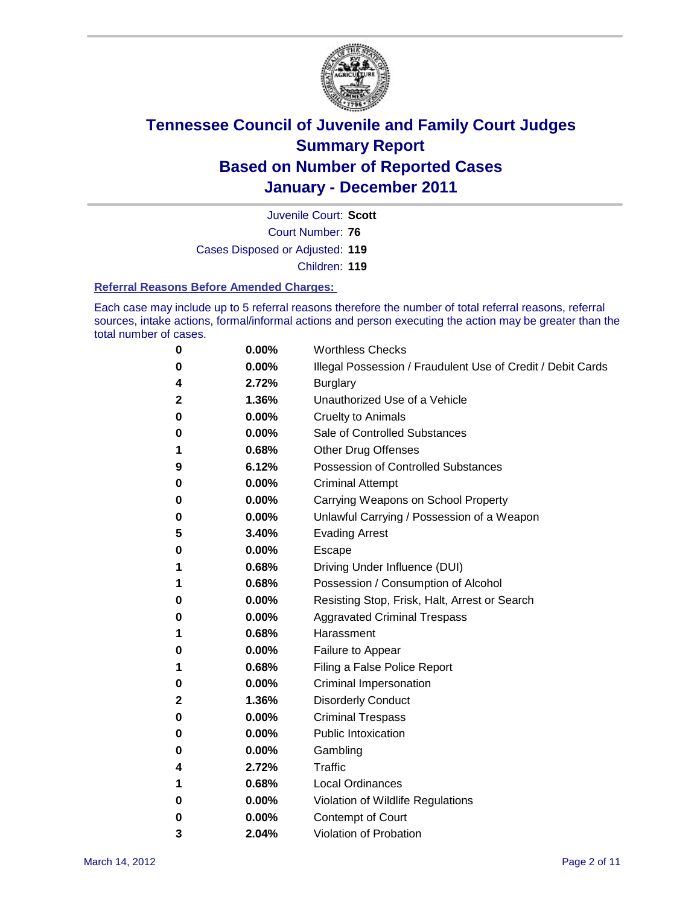

Court Number: **76** Juvenile Court: **Scott** Cases Disposed or Adjusted: **119** Children: **119**

#### **Referral Reasons Before Amended Charges:**

Each case may include up to 5 referral reasons therefore the number of total referral reasons, referral sources, intake actions, formal/informal actions and person executing the action may be greater than the total number of cases.

| 0 | 0.00%    | <b>Worthless Checks</b>                                     |
|---|----------|-------------------------------------------------------------|
| 0 | 0.00%    | Illegal Possession / Fraudulent Use of Credit / Debit Cards |
| 4 | 2.72%    | <b>Burglary</b>                                             |
| 2 | 1.36%    | Unauthorized Use of a Vehicle                               |
| 0 | $0.00\%$ | <b>Cruelty to Animals</b>                                   |
| 0 | 0.00%    | Sale of Controlled Substances                               |
| 1 | 0.68%    | <b>Other Drug Offenses</b>                                  |
| 9 | 6.12%    | <b>Possession of Controlled Substances</b>                  |
| 0 | $0.00\%$ | <b>Criminal Attempt</b>                                     |
| 0 | 0.00%    | Carrying Weapons on School Property                         |
| 0 | 0.00%    | Unlawful Carrying / Possession of a Weapon                  |
| 5 | 3.40%    | <b>Evading Arrest</b>                                       |
| 0 | $0.00\%$ | Escape                                                      |
| 1 | 0.68%    | Driving Under Influence (DUI)                               |
| 1 | 0.68%    | Possession / Consumption of Alcohol                         |
| 0 | $0.00\%$ | Resisting Stop, Frisk, Halt, Arrest or Search               |
| 0 | $0.00\%$ | <b>Aggravated Criminal Trespass</b>                         |
| 1 | 0.68%    | Harassment                                                  |
| 0 | 0.00%    | Failure to Appear                                           |
| 1 | 0.68%    | Filing a False Police Report                                |
| 0 | 0.00%    | <b>Criminal Impersonation</b>                               |
| 2 | 1.36%    | <b>Disorderly Conduct</b>                                   |
| 0 | 0.00%    | <b>Criminal Trespass</b>                                    |
| 0 | 0.00%    | <b>Public Intoxication</b>                                  |
| 0 | $0.00\%$ | Gambling                                                    |
| 4 | 2.72%    | Traffic                                                     |
| 1 | 0.68%    | <b>Local Ordinances</b>                                     |
| 0 | 0.00%    | Violation of Wildlife Regulations                           |
| 0 | $0.00\%$ | Contempt of Court                                           |
| 3 | 2.04%    | Violation of Probation                                      |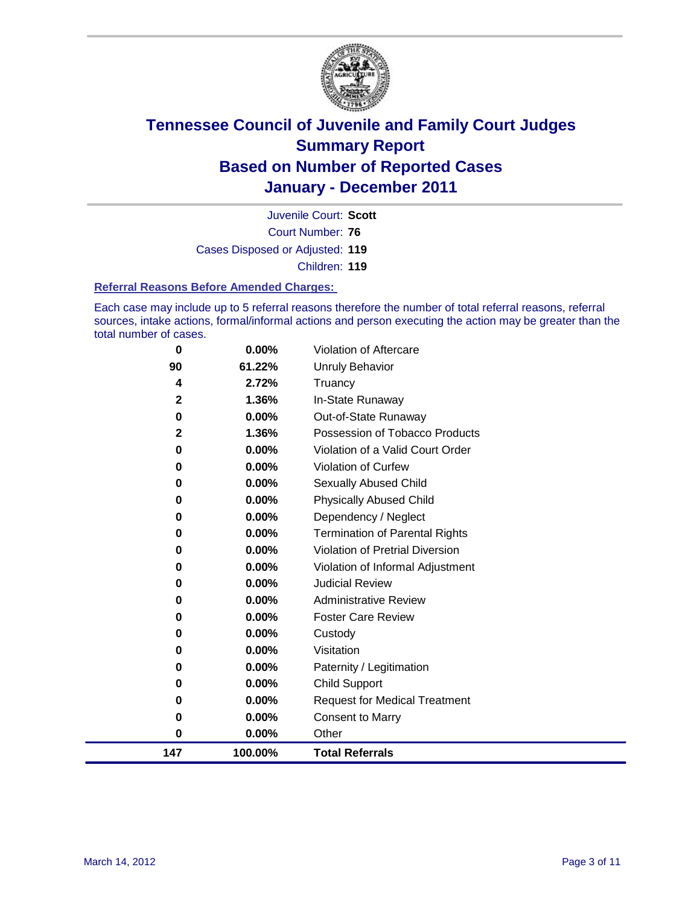

Court Number: **76** Juvenile Court: **Scott** Cases Disposed or Adjusted: **119** Children: **119**

#### **Referral Reasons Before Amended Charges:**

Each case may include up to 5 referral reasons therefore the number of total referral reasons, referral sources, intake actions, formal/informal actions and person executing the action may be greater than the total number of cases.

| 0            | $0.00\%$ | <b>Violation of Aftercare</b>          |
|--------------|----------|----------------------------------------|
| 90           | 61.22%   | <b>Unruly Behavior</b>                 |
| 4            | 2.72%    | Truancy                                |
| $\mathbf{2}$ | 1.36%    | In-State Runaway                       |
| 0            | 0.00%    | Out-of-State Runaway                   |
| $\mathbf{2}$ | 1.36%    | Possession of Tobacco Products         |
| 0            | 0.00%    | Violation of a Valid Court Order       |
| $\bf{0}$     | 0.00%    | Violation of Curfew                    |
| 0            | 0.00%    | Sexually Abused Child                  |
| 0            | 0.00%    | <b>Physically Abused Child</b>         |
| 0            | 0.00%    | Dependency / Neglect                   |
| 0            | $0.00\%$ | <b>Termination of Parental Rights</b>  |
| 0            | $0.00\%$ | <b>Violation of Pretrial Diversion</b> |
| 0            | 0.00%    | Violation of Informal Adjustment       |
| 0            | 0.00%    | <b>Judicial Review</b>                 |
| 0            | $0.00\%$ | <b>Administrative Review</b>           |
| 0            | $0.00\%$ | <b>Foster Care Review</b>              |
| 0            | 0.00%    | Custody                                |
| 0            | 0.00%    | Visitation                             |
| 0            | 0.00%    | Paternity / Legitimation               |
| 0            | 0.00%    | <b>Child Support</b>                   |
| 0            | 0.00%    | <b>Request for Medical Treatment</b>   |
| 0            | 0.00%    | <b>Consent to Marry</b>                |
| 0            | 0.00%    | Other                                  |
| 147          | 100.00%  | <b>Total Referrals</b>                 |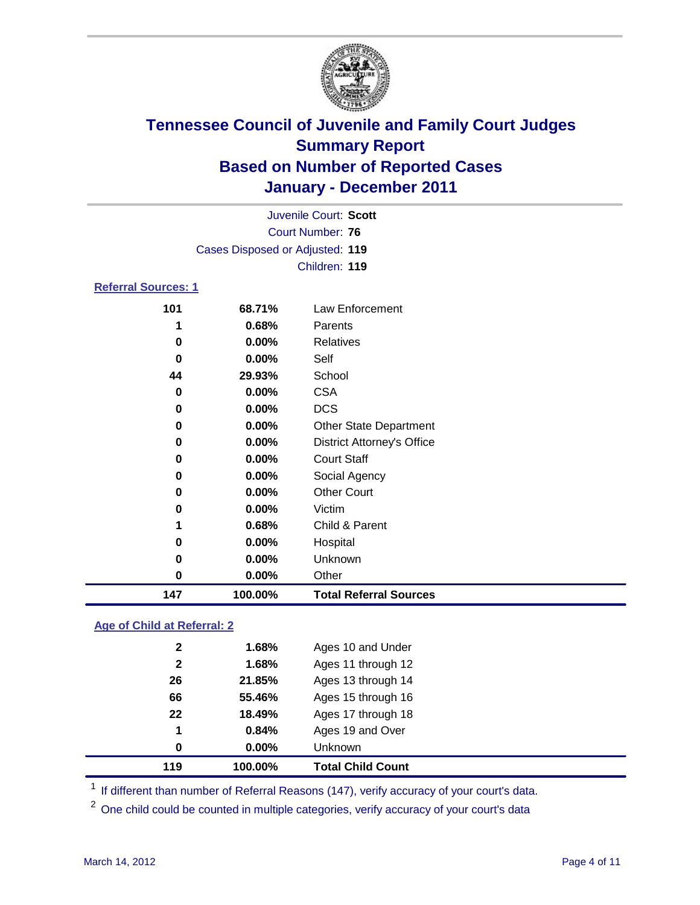

|                            |                                 | Juvenile Court: Scott             |  |  |  |  |  |  |
|----------------------------|---------------------------------|-----------------------------------|--|--|--|--|--|--|
| Court Number: 76           |                                 |                                   |  |  |  |  |  |  |
|                            | Cases Disposed or Adjusted: 119 |                                   |  |  |  |  |  |  |
|                            |                                 | Children: 119                     |  |  |  |  |  |  |
| <b>Referral Sources: 1</b> |                                 |                                   |  |  |  |  |  |  |
| 101                        | 68.71%                          | Law Enforcement                   |  |  |  |  |  |  |
| 1                          | 0.68%                           | Parents                           |  |  |  |  |  |  |
| 0                          | $0.00\%$                        | Relatives                         |  |  |  |  |  |  |
| 0                          | $0.00\%$                        | Self                              |  |  |  |  |  |  |
| 44                         | 29.93%                          | School                            |  |  |  |  |  |  |
| 0                          | $0.00\%$                        | <b>CSA</b>                        |  |  |  |  |  |  |
| $\bf{0}$                   | $0.00\%$                        | <b>DCS</b>                        |  |  |  |  |  |  |
| $\bf{0}$                   | $0.00\%$                        | <b>Other State Department</b>     |  |  |  |  |  |  |
| 0                          | $0.00\%$                        | <b>District Attorney's Office</b> |  |  |  |  |  |  |
| 0                          | $0.00\%$                        | <b>Court Staff</b>                |  |  |  |  |  |  |
| 0                          | $0.00\%$                        | Social Agency                     |  |  |  |  |  |  |
| 0                          | $0.00\%$                        | <b>Other Court</b>                |  |  |  |  |  |  |

| 147 | 100.00%  | <b>Total Referral Sources</b> |
|-----|----------|-------------------------------|
| 0   | $0.00\%$ | Other                         |
| 0   | $0.00\%$ | Unknown                       |
| 0   | $0.00\%$ | Hospital                      |
|     | 0.68%    | Child & Parent                |
| 0   | $0.00\%$ | Victim                        |

### **Age of Child at Referral: 2**

| 119          | 100.00% | <b>Total Child Count</b> |
|--------------|---------|--------------------------|
| 0            | 0.00%   | <b>Unknown</b>           |
| 1            | 0.84%   | Ages 19 and Over         |
| 22           | 18.49%  | Ages 17 through 18       |
| 66           | 55.46%  | Ages 15 through 16       |
| 26           | 21.85%  | Ages 13 through 14       |
| $\mathbf{2}$ | 1.68%   | Ages 11 through 12       |
| 2            | 1.68%   | Ages 10 and Under        |
|              |         |                          |

<sup>1</sup> If different than number of Referral Reasons (147), verify accuracy of your court's data.

<sup>2</sup> One child could be counted in multiple categories, verify accuracy of your court's data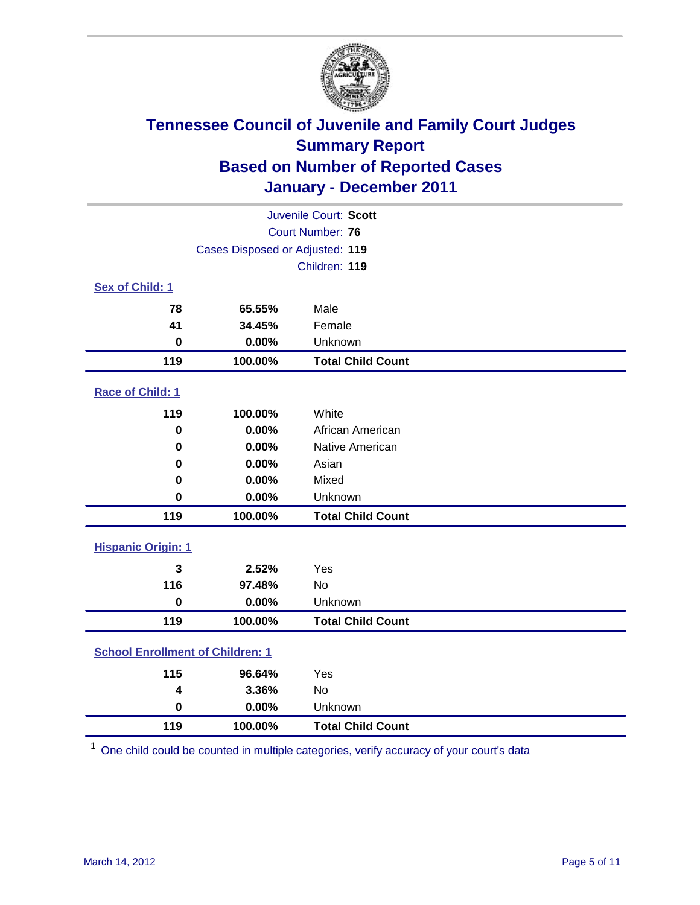

| Juvenile Court: Scott                   |                                 |                          |  |  |  |
|-----------------------------------------|---------------------------------|--------------------------|--|--|--|
|                                         | <b>Court Number: 76</b>         |                          |  |  |  |
|                                         | Cases Disposed or Adjusted: 119 |                          |  |  |  |
|                                         |                                 | Children: 119            |  |  |  |
| Sex of Child: 1                         |                                 |                          |  |  |  |
| 78                                      | 65.55%                          | Male                     |  |  |  |
| 41                                      | 34.45%                          | Female                   |  |  |  |
| 0                                       | 0.00%                           | Unknown                  |  |  |  |
| 119                                     | 100.00%                         | <b>Total Child Count</b> |  |  |  |
| Race of Child: 1                        |                                 |                          |  |  |  |
| 119                                     | 100.00%                         | White                    |  |  |  |
| $\mathbf 0$                             | 0.00%                           | African American         |  |  |  |
| 0                                       | 0.00%                           | Native American          |  |  |  |
| $\mathbf 0$                             | 0.00%                           | Asian                    |  |  |  |
| 0                                       | 0.00%                           | Mixed                    |  |  |  |
| $\mathbf 0$                             | 0.00%                           | Unknown                  |  |  |  |
| 119                                     | 100.00%                         | <b>Total Child Count</b> |  |  |  |
| <b>Hispanic Origin: 1</b>               |                                 |                          |  |  |  |
| 3                                       | 2.52%                           | Yes                      |  |  |  |
| 116                                     | 97.48%                          | <b>No</b>                |  |  |  |
| $\mathbf 0$                             | 0.00%                           | Unknown                  |  |  |  |
| 119                                     | 100.00%                         | <b>Total Child Count</b> |  |  |  |
| <b>School Enrollment of Children: 1</b> |                                 |                          |  |  |  |
| 115                                     | 96.64%                          | Yes                      |  |  |  |
| 4                                       | 3.36%                           | No                       |  |  |  |
| $\mathbf 0$                             | 0.00%                           | Unknown                  |  |  |  |
| 119                                     | 100.00%                         | <b>Total Child Count</b> |  |  |  |

One child could be counted in multiple categories, verify accuracy of your court's data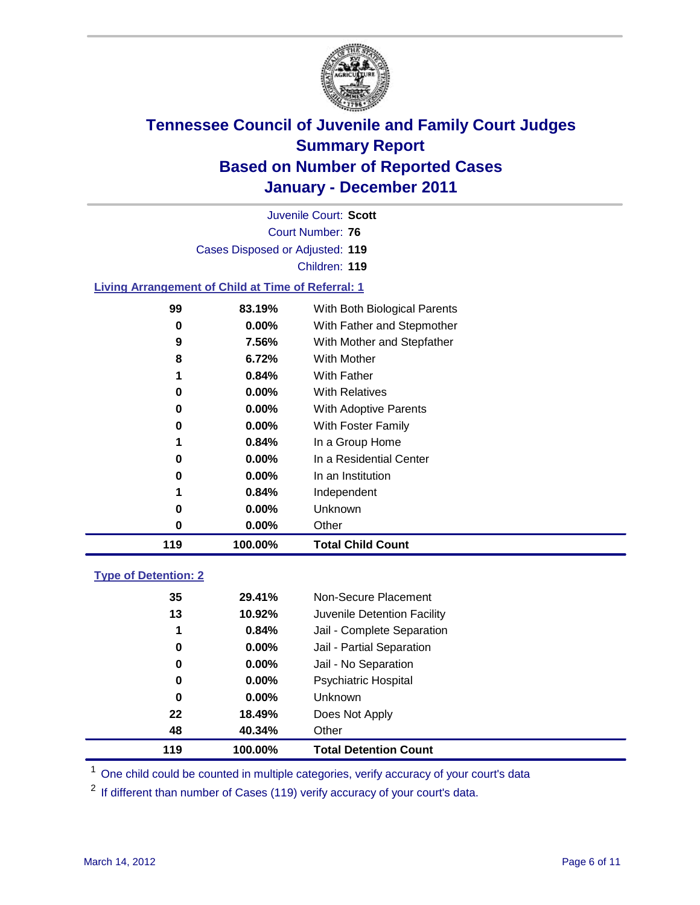

Court Number: **76** Juvenile Court: **Scott** Cases Disposed or Adjusted: **119** Children: **119 Living Arrangement of Child at Time of Referral: 1 83.19%** With Both Biological Parents

| 119 | 100.00%  | <b>Total Child Count</b>       |
|-----|----------|--------------------------------|
| 0   | $0.00\%$ | Other                          |
| 0   | $0.00\%$ | Unknown                        |
|     | 0.84%    | Independent                    |
| 0   | $0.00\%$ | In an Institution              |
| 0   | $0.00\%$ | In a Residential Center        |
|     | 0.84%    | In a Group Home                |
| 0   | $0.00\%$ | With Foster Family             |
| 0   | $0.00\%$ | With Adoptive Parents          |
| 0   | $0.00\%$ | <b>With Relatives</b>          |
|     | 0.84%    | <b>With Father</b>             |
| 8   | 6.72%    | With Mother                    |
| 9   | 7.56%    | With Mother and Stepfather     |
| 0   | $0.00\%$ | With Father and Stepmother     |
| ນນ  | 09. IYY0 | VIIII DUIII DIUIUGICAI PATENIS |

### **Type of Detention: 2**

| 119 | 100.00%  | <b>Total Detention Count</b> |  |
|-----|----------|------------------------------|--|
| 48  | 40.34%   | Other                        |  |
| 22  | 18.49%   | Does Not Apply               |  |
| 0   | $0.00\%$ | <b>Unknown</b>               |  |
| 0   | $0.00\%$ | <b>Psychiatric Hospital</b>  |  |
| 0   | 0.00%    | Jail - No Separation         |  |
| 0   | $0.00\%$ | Jail - Partial Separation    |  |
| 1   | 0.84%    | Jail - Complete Separation   |  |
| 13  | 10.92%   | Juvenile Detention Facility  |  |
| 35  | 29.41%   | Non-Secure Placement         |  |
|     |          |                              |  |

<sup>1</sup> One child could be counted in multiple categories, verify accuracy of your court's data

<sup>2</sup> If different than number of Cases (119) verify accuracy of your court's data.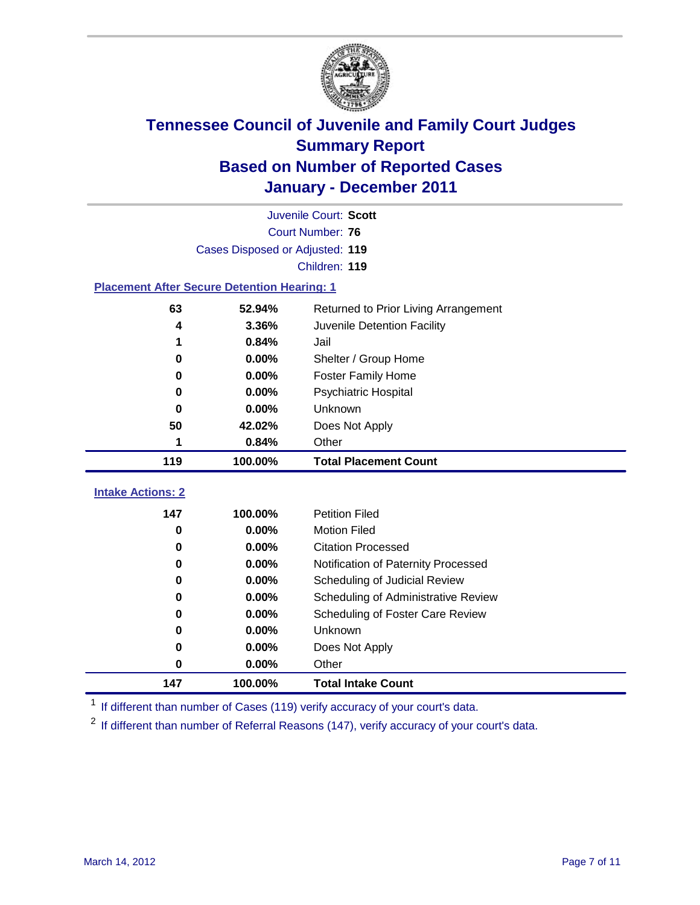

|                                                    |                                 | Juvenile Court: Scott                |  |  |  |
|----------------------------------------------------|---------------------------------|--------------------------------------|--|--|--|
| <b>Court Number: 76</b>                            |                                 |                                      |  |  |  |
|                                                    | Cases Disposed or Adjusted: 119 |                                      |  |  |  |
|                                                    |                                 | Children: 119                        |  |  |  |
| <b>Placement After Secure Detention Hearing: 1</b> |                                 |                                      |  |  |  |
| 63                                                 | 52.94%                          | Returned to Prior Living Arrangement |  |  |  |
| 4                                                  | 3.36%                           | Juvenile Detention Facility          |  |  |  |
| 1                                                  | 0.84%                           | Jail                                 |  |  |  |
| $\bf{0}$                                           | 0.00%                           | Shelter / Group Home                 |  |  |  |
| 0                                                  | 0.00%                           | <b>Foster Family Home</b>            |  |  |  |
| 0                                                  | 0.00%                           | Psychiatric Hospital                 |  |  |  |
| 0                                                  | $0.00\%$                        | Unknown                              |  |  |  |
| 50                                                 | 42.02%                          | Does Not Apply                       |  |  |  |
| 1                                                  | 0.84%                           | Other                                |  |  |  |
| 119                                                | 100.00%                         | <b>Total Placement Count</b>         |  |  |  |
| <b>Intake Actions: 2</b>                           |                                 |                                      |  |  |  |
|                                                    |                                 |                                      |  |  |  |
| 147                                                | 100.00%                         | <b>Petition Filed</b>                |  |  |  |
| 0                                                  | 0.00%                           | <b>Motion Filed</b>                  |  |  |  |
| 0                                                  | 0.00%                           | <b>Citation Processed</b>            |  |  |  |
| 0                                                  | 0.00%                           | Notification of Paternity Processed  |  |  |  |
| 0                                                  | 0.00%                           | Scheduling of Judicial Review        |  |  |  |
| 0                                                  | 0.00%                           | Scheduling of Administrative Review  |  |  |  |
| 0                                                  | 0.00%                           | Scheduling of Foster Care Review     |  |  |  |
| 0                                                  | 0.00%                           | Unknown                              |  |  |  |
| 0                                                  | 0.00%                           | Does Not Apply                       |  |  |  |
| 0                                                  | 0.00%                           | Other                                |  |  |  |
| 147                                                | 100.00%                         | <b>Total Intake Count</b>            |  |  |  |

<sup>1</sup> If different than number of Cases (119) verify accuracy of your court's data.

<sup>2</sup> If different than number of Referral Reasons (147), verify accuracy of your court's data.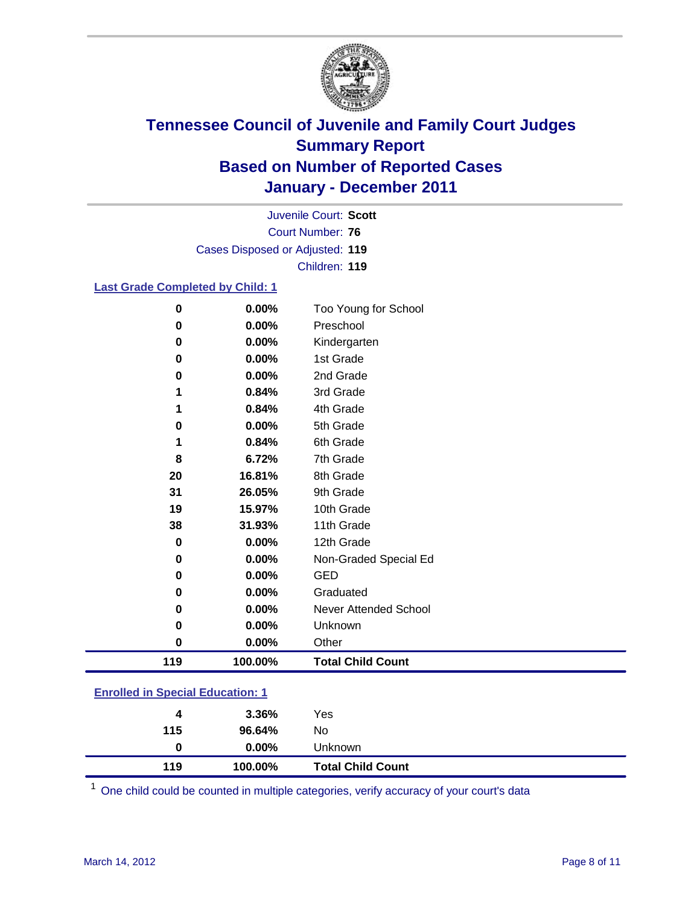

Court Number: **76** Juvenile Court: **Scott** Cases Disposed or Adjusted: **119** Children: **119**

#### **Last Grade Completed by Child: 1**

| 0         | 0.00%    | Too Young for School         |
|-----------|----------|------------------------------|
| 0         | 0.00%    | Preschool                    |
| 0         | 0.00%    | Kindergarten                 |
| 0         | 0.00%    | 1st Grade                    |
| 0         | $0.00\%$ | 2nd Grade                    |
| 1         | 0.84%    | 3rd Grade                    |
| 1         | 0.84%    | 4th Grade                    |
| 0         | 0.00%    | 5th Grade                    |
| 1         | 0.84%    | 6th Grade                    |
| 8         | 6.72%    | 7th Grade                    |
| 20        | 16.81%   | 8th Grade                    |
| 31        | 26.05%   | 9th Grade                    |
| 19        | 15.97%   | 10th Grade                   |
| 38        | 31.93%   | 11th Grade                   |
| 0         | 0.00%    | 12th Grade                   |
| 0         | 0.00%    | Non-Graded Special Ed        |
| 0         | 0.00%    | <b>GED</b>                   |
| 0         | 0.00%    | Graduated                    |
| 0         | 0.00%    | <b>Never Attended School</b> |
| 0         | 0.00%    | Unknown                      |
| $\pmb{0}$ | 0.00%    | Other                        |
| 119       | 100.00%  | <b>Total Child Count</b>     |

### **Enrolled in Special Education: 1**

| 4<br>115 | 3.36%<br>96.64% | Yes<br>No                |  |
|----------|-----------------|--------------------------|--|
| 0        | $0.00\%$        | Unknown                  |  |
| 119      | 100.00%         | <b>Total Child Count</b> |  |

One child could be counted in multiple categories, verify accuracy of your court's data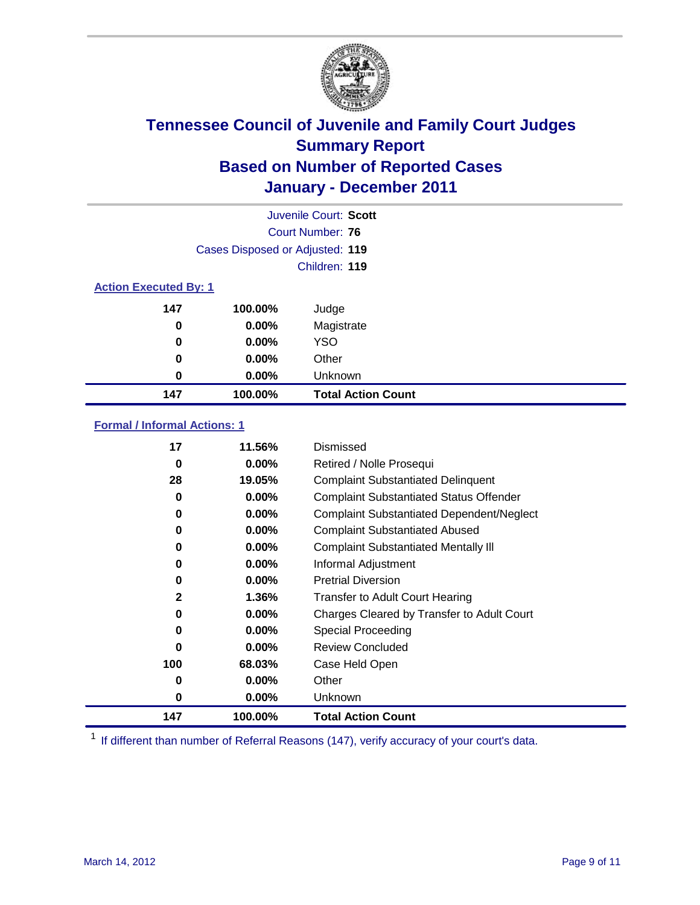

|                              |                                 | Juvenile Court: Scott     |
|------------------------------|---------------------------------|---------------------------|
|                              |                                 | Court Number: 76          |
|                              | Cases Disposed or Adjusted: 119 |                           |
|                              |                                 | Children: 119             |
| <b>Action Executed By: 1</b> |                                 |                           |
| 147                          | 100.00%                         | Judge                     |
| $\bf{0}$                     | $0.00\%$                        | Magistrate                |
| $\bf{0}$                     | 0.00%                           | <b>YSO</b>                |
| 0                            | 0.00%                           | Other                     |
| 0                            | 0.00%                           | Unknown                   |
| 147                          | 100.00%                         | <b>Total Action Count</b> |

### **Formal / Informal Actions: 1**

| 17           | 11.56%   | Dismissed                                        |
|--------------|----------|--------------------------------------------------|
| 0            | $0.00\%$ | Retired / Nolle Prosequi                         |
| 28           | 19.05%   | <b>Complaint Substantiated Delinquent</b>        |
| 0            | 0.00%    | <b>Complaint Substantiated Status Offender</b>   |
| 0            | 0.00%    | <b>Complaint Substantiated Dependent/Neglect</b> |
| 0            | $0.00\%$ | <b>Complaint Substantiated Abused</b>            |
| 0            | $0.00\%$ | <b>Complaint Substantiated Mentally III</b>      |
| 0            | $0.00\%$ | Informal Adjustment                              |
| 0            | $0.00\%$ | <b>Pretrial Diversion</b>                        |
| $\mathbf{2}$ | $1.36\%$ | <b>Transfer to Adult Court Hearing</b>           |
| 0            | $0.00\%$ | Charges Cleared by Transfer to Adult Court       |
| 0            | $0.00\%$ | Special Proceeding                               |
| $\bf{0}$     | $0.00\%$ | <b>Review Concluded</b>                          |
| 100          | 68.03%   | Case Held Open                                   |
| 0            | $0.00\%$ | Other                                            |
| 0            | $0.00\%$ | <b>Unknown</b>                                   |
| 147          | 100.00%  | <b>Total Action Count</b>                        |

<sup>1</sup> If different than number of Referral Reasons (147), verify accuracy of your court's data.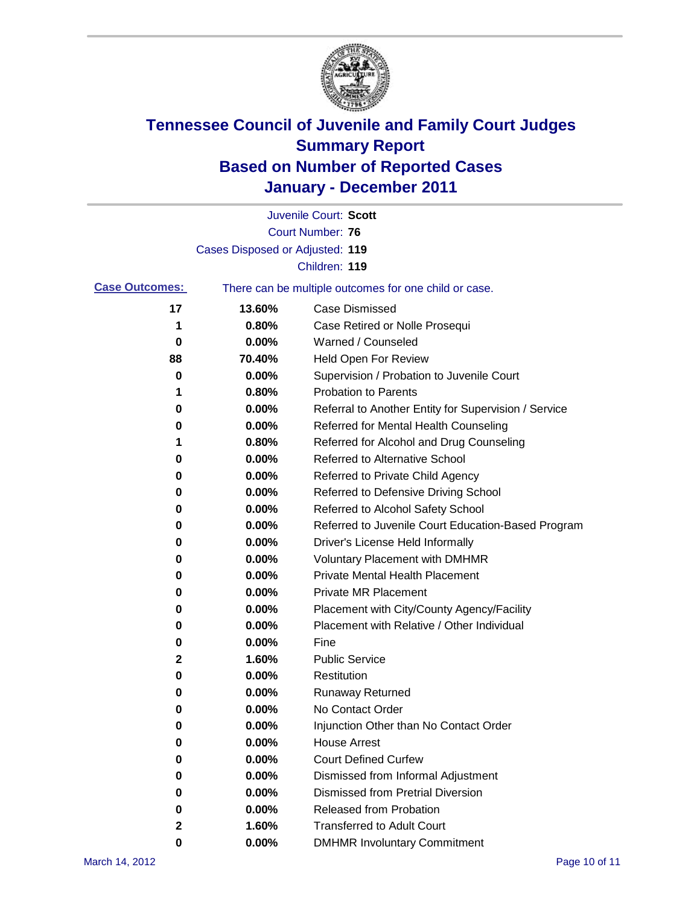

|                       |                                 | Juvenile Court: Scott                                 |
|-----------------------|---------------------------------|-------------------------------------------------------|
|                       |                                 | <b>Court Number: 76</b>                               |
|                       | Cases Disposed or Adjusted: 119 |                                                       |
|                       |                                 | Children: 119                                         |
| <b>Case Outcomes:</b> |                                 | There can be multiple outcomes for one child or case. |
| 17                    | 13.60%                          | <b>Case Dismissed</b>                                 |
| 1                     | 0.80%                           | Case Retired or Nolle Prosequi                        |
| 0                     | 0.00%                           | Warned / Counseled                                    |
| 88                    | 70.40%                          | Held Open For Review                                  |
| 0                     | 0.00%                           | Supervision / Probation to Juvenile Court             |
| 1                     | 0.80%                           | <b>Probation to Parents</b>                           |
| 0                     | 0.00%                           | Referral to Another Entity for Supervision / Service  |
| 0                     | 0.00%                           | Referred for Mental Health Counseling                 |
| 1                     | 0.80%                           | Referred for Alcohol and Drug Counseling              |
| 0                     | 0.00%                           | Referred to Alternative School                        |
| 0                     | 0.00%                           | Referred to Private Child Agency                      |
| 0                     | 0.00%                           | Referred to Defensive Driving School                  |
| 0                     | 0.00%                           | Referred to Alcohol Safety School                     |
| 0                     | 0.00%                           | Referred to Juvenile Court Education-Based Program    |
| 0                     | 0.00%                           | Driver's License Held Informally                      |
| 0                     | 0.00%                           | <b>Voluntary Placement with DMHMR</b>                 |
| 0                     | 0.00%                           | <b>Private Mental Health Placement</b>                |
| 0                     | 0.00%                           | <b>Private MR Placement</b>                           |
| 0                     | 0.00%                           | Placement with City/County Agency/Facility            |
| 0                     | 0.00%                           | Placement with Relative / Other Individual            |
| 0                     | 0.00%                           | Fine                                                  |
| 2                     | 1.60%                           | <b>Public Service</b>                                 |
| 0                     | 0.00%                           | Restitution                                           |
| 0                     | 0.00%                           | <b>Runaway Returned</b>                               |
| 0                     | 0.00%                           | No Contact Order                                      |
| 0                     | 0.00%                           | Injunction Other than No Contact Order                |
| 0                     | 0.00%                           | <b>House Arrest</b>                                   |
| 0                     | 0.00%                           | <b>Court Defined Curfew</b>                           |
| 0                     | 0.00%                           | Dismissed from Informal Adjustment                    |
| 0                     | 0.00%                           | <b>Dismissed from Pretrial Diversion</b>              |
| 0                     | 0.00%                           | Released from Probation                               |
| 2                     | 1.60%                           | <b>Transferred to Adult Court</b>                     |
| 0                     | 0.00%                           | <b>DMHMR Involuntary Commitment</b>                   |